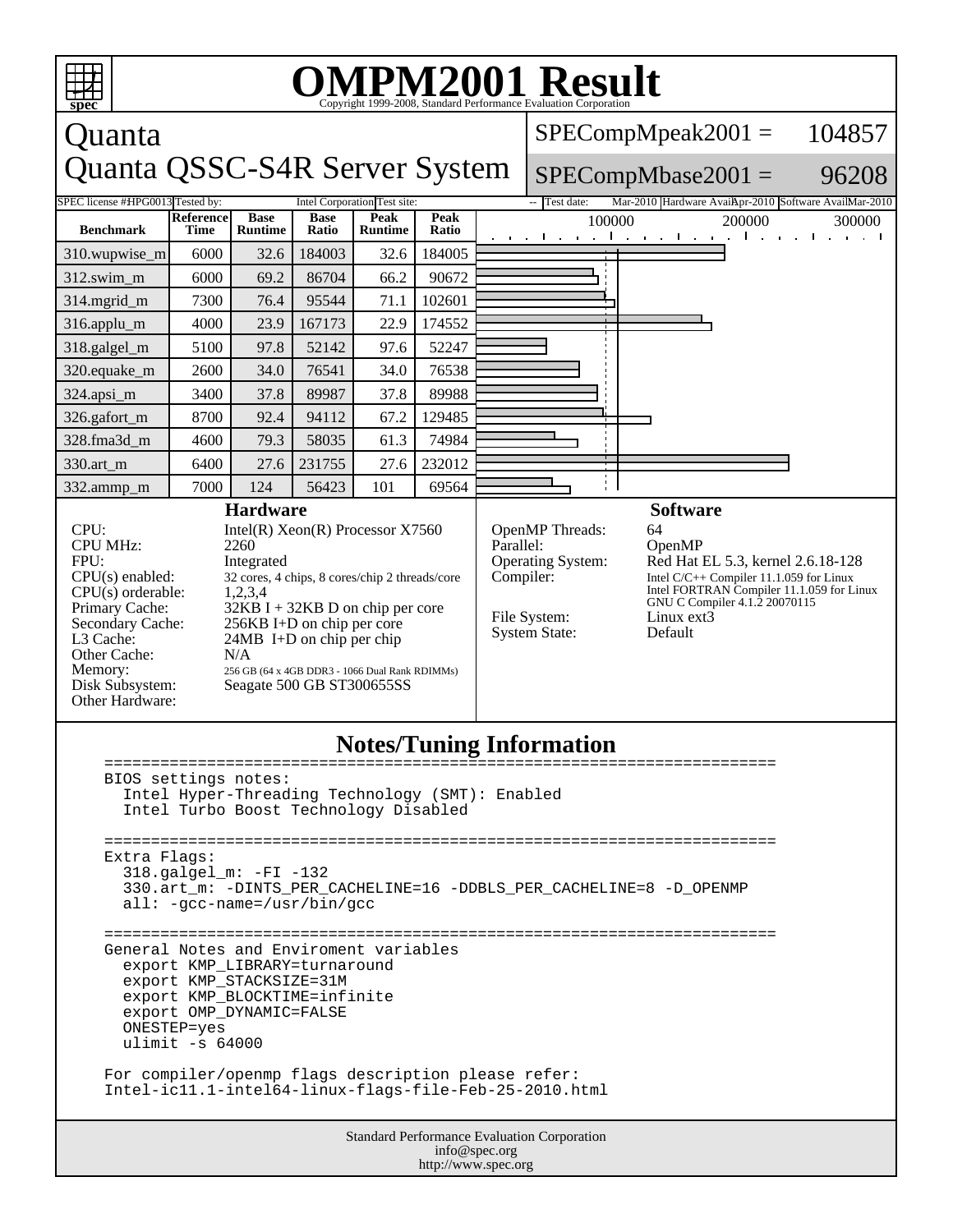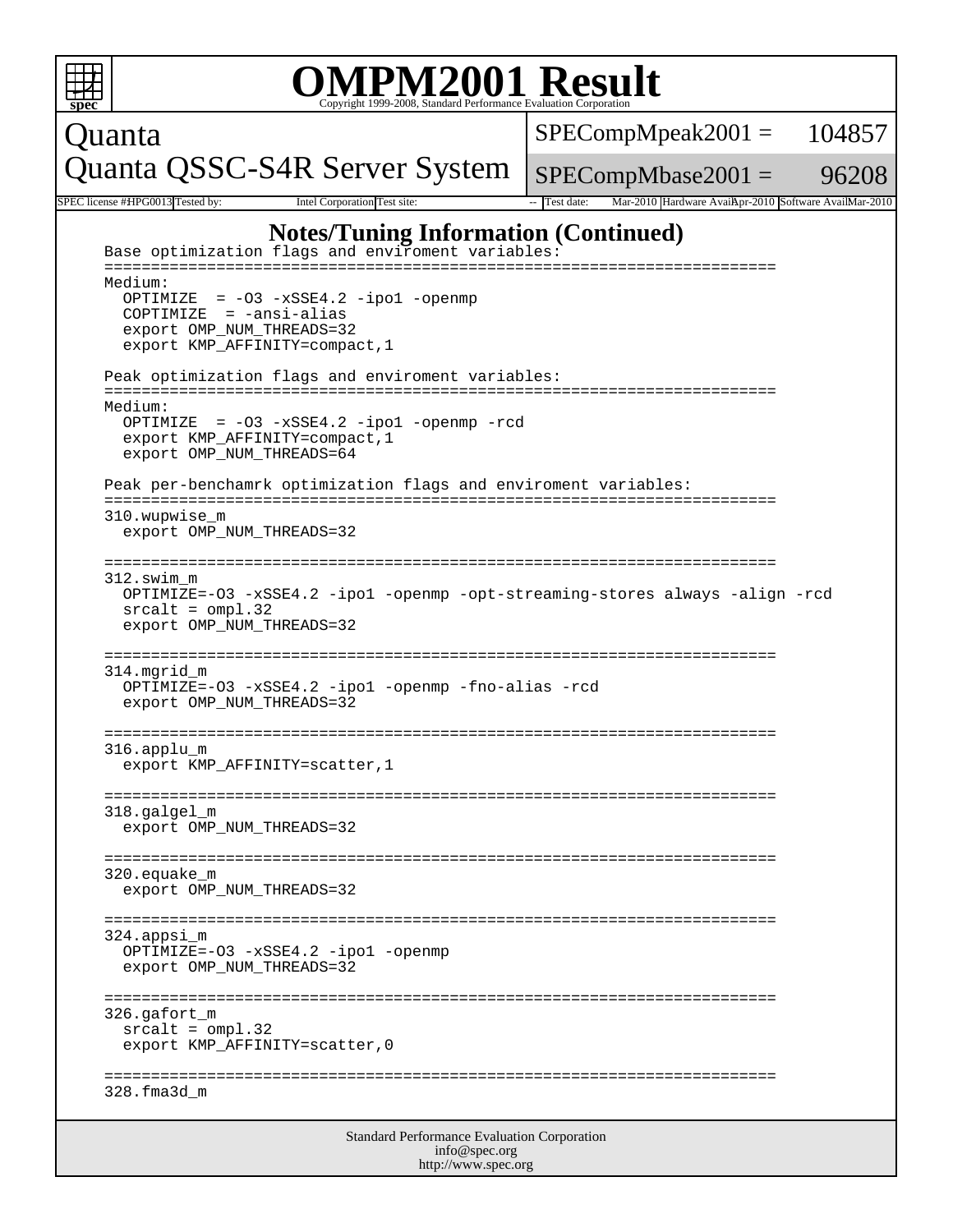```
Standard Performance Evaluation Corporation
 spec
                          OMPM2001 Result ISP9-2008, Standard Performance Evaluation Corporation
Quanta
Quanta QSSC-S4R Server System
                                                     SPECompMpeak2001 =SPECompMbase2001 =104857
                                                                                      96208
SPEC license #HPG0013 Tested by: Intel Corporation Test site: -- Test date: Mar-2010 Hardware Avail: - SPEC license #HPG0013 Tested by:
                       Notes/Tuning Information (Continued)
    Base optimization flags and enviroment variables:
     ========================================================================
     Medium:
        OPTIMIZE = -O3 -xSSE4.2 -ipo1 -openmp 
       COPTIMIZE = -ansi-alias
       export OMP_NUM_THREADS=32
       export KMP_AFFINITY=compact,1
     Peak optimization flags and enviroment variables:
     ========================================================================
     Medium:
       OPTIMIZE = -O3 -xSSE4.2 -ipo1 -openmp -rcd 
       export KMP_AFFINITY=compact,1
       export OMP_NUM_THREADS=64
     Peak per-benchamrk optimization flags and enviroment variables:
      ========================================================================
      310.wupwise_m
        export OMP_NUM_THREADS=32
      ========================================================================
     312.swim_m
       OPTIMIZE=-O3 -xSSE4.2 -ipo1 -openmp -opt-streaming-stores always -align -rcd
       srcalt = ompl.32
       export OMP_NUM_THREADS=32
      ========================================================================
     314.mgrid_m
       OPTIMIZE=-O3 -xSSE4.2 -ipo1 -openmp -fno-alias -rcd 
       export OMP_NUM_THREADS=32
      ========================================================================
     316.applu_m
       export KMP_AFFINITY=scatter,1
      ========================================================================
      318.galgel_m
        export OMP_NUM_THREADS=32
     ========================================================================
     320.equake_m
        export OMP_NUM_THREADS=32
      ========================================================================
      324.appsi_m
        OPTIMIZE=-O3 -xSSE4.2 -ipo1 -openmp
        export OMP_NUM_THREADS=32
      ========================================================================
     326.gafort_m
      srcalt = omp1.32 export KMP_AFFINITY=scatter,0
      ========================================================================
      328.fma3d_m
```
info@spec.org http://www.spec.org